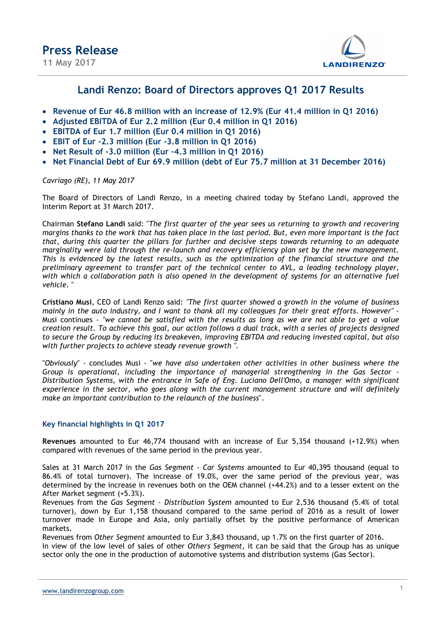

### Landi Renzo: Board of Directors approves Q1 2017 Results

- Revenue of Eur 46.8 million with an increase of 12.9% (Eur 41.4 million in Q1 2016)
- Adjusted EBITDA of Eur 2.2 million (Eur 0.4 million in Q1 2016)
- EBITDA of Eur 1.7 million (Eur 0.4 million in Q1 2016)
- EBIT of Eur -2.3 million (Eur -3.8 million in Q1 2016)
- Net Result of -3.0 million (Eur –4.3 million in Q1 2016)
- Net Financial Debt of Eur 69.9 million (debt of Eur 75.7 million at 31 December 2016)

Cavriago (RE), 11 May 2017

The Board of Directors of Landi Renzo, in a meeting chaired today by Stefano Landi, approved the Interim Report at 31 March 2017.

Chairman Stefano Landi said: "The first quarter of the year sees us returning to growth and recovering margins thanks to the work that has taken place in the last period. But, even more important is the fact that, during this quarter the pillars for further and decisive steps towards returning to an adequate marginality were laid through the re-launch and recovery efficiency plan set by the new management. This is evidenced by the latest results, such as the optimization of the financial structure and the preliminary agreement to transfer part of the technical center to AVL, a leading technology player, with which a collaboration path is also opened in the development of systems for an alternative fuel vehicle. "

Cristiano Musi, CEO of Landi Renzo said: "The first quarter showed a growth in the volume of business mainly in the auto industry, and I want to thank all my colleagues for their great efforts. However" - Musi continues - "we cannot be satisfied with the results as long as we are not able to get a value creation result. To achieve this goal, our action follows a dual track, with a series of projects designed to secure the Group by reducing its breakeven, improving EBITDA and reducing invested capital, but also with further projects to achieve steady revenue growth ".

"Obviously" - concludes Musi - "we have also undertaken other activities in other business where the Group is operational, including the importance of managerial strengthening in the Gas Sector - Distribution Systems, with the entrance in Safe of Eng. Luciano Dell'Omo, a manager with significant experience in the sector, who goes along with the current management structure and will definitely make an important contribution to the relaunch of the business".

### Key financial highlights in Q1 2017

Revenues amounted to Eur 46,774 thousand with an increase of Eur 5,354 thousand (+12.9%) when compared with revenues of the same period in the previous year.

Sales at 31 March 2017 in the Gas Segment - Car Systems amounted to Eur 40,395 thousand (equal to 86.4% of total turnover). The increase of 19.0%, over the same period of the previous year, was determined by the increase in revenues both on the OEM channel (+44.2%) and to a lesser extent on the After Market segment (+5.3%).

Revenues from the Gas Segment - Distribution System amounted to Eur 2,536 thousand (5.4% of total turnover), down by Eur 1,158 thousand compared to the same period of 2016 as a result of lower turnover made in Europe and Asia, only partially offset by the positive performance of American markets.

Revenues from Other Segment amounted to Eur 3,843 thousand, up 1.7% on the first quarter of 2016. In view of the low level of sales of other Others Segment, it can be said that the Group has as unique sector only the one in the production of automotive systems and distribution systems (Gas Sector).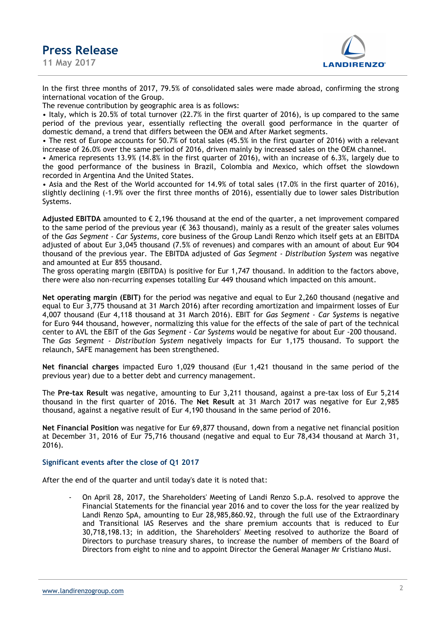11 May 2017



In the first three months of 2017, 79.5% of consolidated sales were made abroad, confirming the strong international vocation of the Group.

The revenue contribution by geographic area is as follows:

• Italy, which is 20.5% of total turnover (22.7% in the first quarter of 2016), is up compared to the same period of the previous year, essentially reflecting the overall good performance in the quarter of domestic demand, a trend that differs between the OEM and After Market segments.

• The rest of Europe accounts for 50.7% of total sales (45.5% in the first quarter of 2016) with a relevant increase of 26.0% over the same period of 2016, driven mainly by increased sales on the OEM channel.

• America represents 13.9% (14.8% in the first quarter of 2016), with an increase of 6.3%, largely due to the good performance of the business in Brazil, Colombia and Mexico, which offset the slowdown recorded in Argentina And the United States.

• Asia and the Rest of the World accounted for 14.9% of total sales (17.0% in the first quarter of 2016), slightly declining (-1.9% over the first three months of 2016), essentially due to lower sales Distribution Systems.

Adjusted EBITDA amounted to  $\epsilon$  2,196 thousand at the end of the quarter, a net improvement compared to the same period of the previous year ( $\epsilon$  363 thousand), mainly as a result of the greater sales volumes of the Gas Segment - Car Systems, core business of the Group Landi Renzo which itself gets at an EBITDA adjusted of about Eur 3,045 thousand (7.5% of revenues) and compares with an amount of about Eur 904 thousand of the previous year. The EBITDA adjusted of Gas Segment - Distribution System was negative and amounted at Eur 855 thousand.

The gross operating margin (EBITDA) is positive for Eur 1,747 thousand. In addition to the factors above, there were also non-recurring expenses totalling Eur 449 thousand which impacted on this amount.

Net operating margin (EBIT) for the period was negative and equal to Eur 2,260 thousand (negative and equal to Eur 3,775 thousand at 31 March 2016) after recording amortization and impairment losses of Eur 4,007 thousand (Eur 4,118 thousand at 31 March 2016). EBIT for Gas Segment - Car Systems is negative for Euro 944 thousand, however, normalizing this value for the effects of the sale of part of the technical center to AVL the EBIT of the Gas Segment - Car Systems would be negative for about Eur -200 thousand. The Gas Segment - Distribution System negatively impacts for Eur 1,175 thousand. To support the relaunch, SAFE management has been strengthened.

Net financial charges impacted Euro 1,029 thousand (Eur 1,421 thousand in the same period of the previous year) due to a better debt and currency management.

The Pre-tax Result was negative, amounting to Eur 3,211 thousand, against a pre-tax loss of Eur 5,214 thousand in the first quarter of 2016. The Net Result at 31 March 2017 was negative for Eur 2,985 thousand, against a negative result of Eur 4,190 thousand in the same period of 2016.

Net Financial Position was negative for Eur 69,877 thousand, down from a negative net financial position at December 31, 2016 of Eur 75,716 thousand (negative and equal to Eur 78,434 thousand at March 31, 2016).

#### Significant events after the close of Q1 2017

After the end of the quarter and until today's date it is noted that:

- On April 28, 2017, the Shareholders' Meeting of Landi Renzo S.p.A. resolved to approve the Financial Statements for the financial year 2016 and to cover the loss for the year realized by Landi Renzo SpA, amounting to Eur 28,985,860.92, through the full use of the Extraordinary and Transitional IAS Reserves and the share premium accounts that is reduced to Eur 30,718,198.13; in addition, the Shareholders' Meeting resolved to authorize the Board of Directors to purchase treasury shares, to increase the number of members of the Board of Directors from eight to nine and to appoint Director the General Manager Mr Cristiano Musi.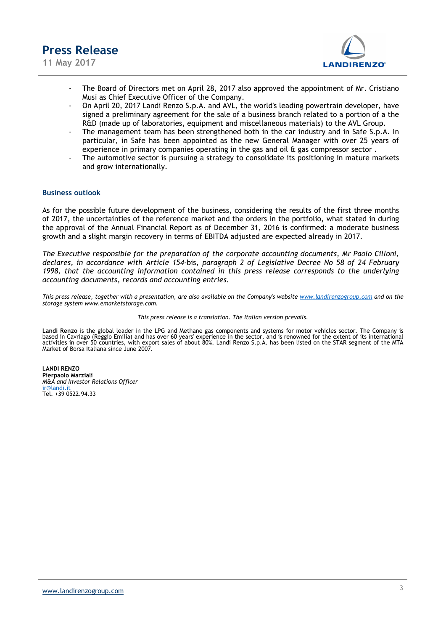

11 May 2017



- The Board of Directors met on April 28, 2017 also approved the appointment of Mr. Cristiano Musi as Chief Executive Officer of the Company.
- On April 20, 2017 Landi Renzo S.p.A. and AVL, the world's leading powertrain developer, have signed a preliminary agreement for the sale of a business branch related to a portion of a the R&D (made up of laboratories, equipment and miscellaneous materials) to the AVL Group.
- The management team has been strengthened both in the car industry and in Safe S.p.A. In particular, in Safe has been appointed as the new General Manager with over 25 years of experience in primary companies operating in the gas and oil & gas compressor sector .
- The automotive sector is pursuing a strategy to consolidate its positioning in mature markets and grow internationally.

#### Business outlook

As for the possible future development of the business, considering the results of the first three months of 2017, the uncertainties of the reference market and the orders in the portfolio, what stated in during the approval of the Annual Financial Report as of December 31, 2016 is confirmed: a moderate business growth and a slight margin recovery in terms of EBITDA adjusted are expected already in 2017.

The Executive responsible for the preparation of the corporate accounting documents, Mr Paolo Cilloni, declares, in accordance with Article 154-bis, paragraph 2 of Legislative Decree No 58 of 24 February 1998, that the accounting information contained in this press release corresponds to the underlying accounting documents, records and accounting entries.

This press release, together with a presentation, are also available on the Company's website www.landirenzogroup.com and on the storage system www.emarketstorage.com.

#### This press release is a translation. The Italian version prevails.

Landi Renzo is the global leader in the LPG and Methane gas components and systems for motor vehicles sector. The Company is<br>based in Cavriago (Reggio Emilia) and has over 60 years' experience in the sector, and is renowne activities in over 50 countries, with export sales of about 80%. Landi Renzo S.p.A. has been listed on the STAR segment of the MTA Market of Borsa Italiana since June 2007.

LANDI RENZO Pierpaolo Marziali M&A and Investor Relations Officer ir@landi.it Tel. +39 0522.94.33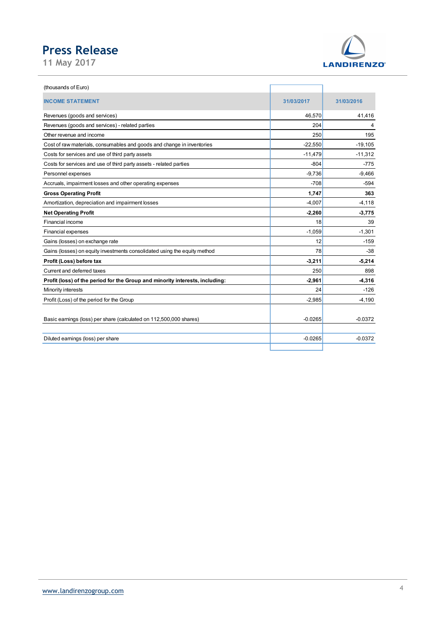

| <b>Press Release</b><br>31/03/2017<br>46,570<br>204<br>250<br>Other revenue and income                                                            | <b>LANDIRENZO®</b><br>31/03/2016<br>41,416 |
|---------------------------------------------------------------------------------------------------------------------------------------------------|--------------------------------------------|
| 11 May 2017<br>(thousands of Euro)<br><b>INCOME STATEMENT</b><br>Revenues (goods and services)<br>Revenues (goods and services) - related parties |                                            |
|                                                                                                                                                   |                                            |
|                                                                                                                                                   |                                            |
|                                                                                                                                                   |                                            |
|                                                                                                                                                   |                                            |
|                                                                                                                                                   |                                            |
|                                                                                                                                                   | 4                                          |
|                                                                                                                                                   | 195                                        |
| $-22,550$<br>Cost of raw materials, consumables and goods and change in inventories                                                               | $-19,105$                                  |
| $-11,479$<br>Costs for services and use of third party assets                                                                                     | $-11,312$                                  |
| $-804$<br>Costs for services and use of third party assets - related parties                                                                      | $-775$                                     |
| $-9,736$<br>Personnel expenses                                                                                                                    | $-9,466$                                   |
| $-708$<br>Accruals, impairment losses and other operating expenses                                                                                | $-594$                                     |
| 1,747<br><b>Gross Operating Profit</b>                                                                                                            | 363                                        |
| Amortization, depreciation and impairment losses<br>$-4,007$                                                                                      | $-4,118$                                   |
| $-2,260$<br><b>Net Operating Profit</b>                                                                                                           | $-3,775$                                   |
| Financial income                                                                                                                                  | 18<br>39                                   |
| $-1,059$<br>Financial expenses                                                                                                                    | $-1,301$                                   |
| Gains (losses) on exchange rate                                                                                                                   | 12<br>$-159$                               |
| Gains (losses) on equity investments consolidated using the equity method                                                                         | 78<br>$-38$                                |
| Profit (Loss) before tax<br>$-3,211$                                                                                                              | $-5,214$                                   |
| Current and deferred taxes                                                                                                                        | 250<br>898                                 |
| Profit (loss) of the period for the Group and minority interests, including:<br>$-2,961$                                                          | $-4,316$                                   |
| Minority interests                                                                                                                                | 24<br>$-126$                               |
| Profit (Loss) of the period for the Group<br>$-2,985$                                                                                             | $-4,190$                                   |
| Basic earnings (loss) per share (calculated on 112,500,000 shares)<br>$-0.0265$                                                                   | $-0.0372$                                  |
| Diluted earnings (loss) per share<br>$-0.0265$                                                                                                    | $-0.0372$                                  |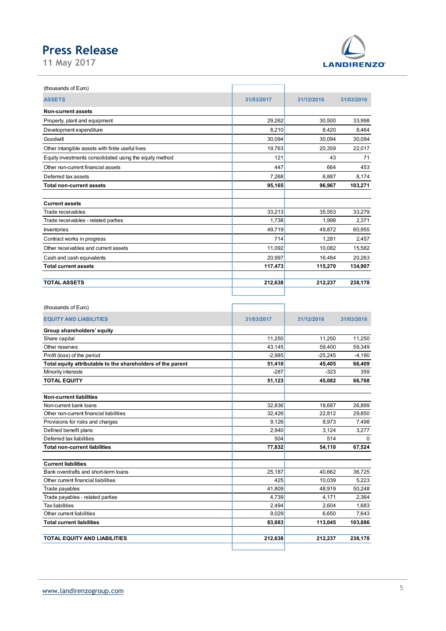

| <b>Press Release</b>                                                              |                  |                   |                   |
|-----------------------------------------------------------------------------------|------------------|-------------------|-------------------|
|                                                                                   |                  |                   |                   |
| 11 May 2017                                                                       |                  |                   | <b>LANDIRENZO</b> |
|                                                                                   |                  |                   |                   |
| (thousands of Euro)                                                               |                  |                   |                   |
| <b>ASSETS</b>                                                                     | 31/03/2017       | 31/12/2016        | 31/03/2016        |
|                                                                                   |                  |                   |                   |
| Non-current assets                                                                |                  |                   |                   |
| Property, plant and equipment                                                     | 29,262           | 30,500            | 33,998            |
| Development expenditure                                                           | 8,210            | 8,420             | 8,464             |
| Goodwill                                                                          | 30,094           | 30,094            | 30,094            |
| Other intangible assets with finite useful lives                                  | 19,763           | 20,359            | 22,017            |
| Equity investments consolidated using the equity method                           | 121              | 43                | 71                |
| Other non-current financial assets                                                | 447              | 664               | 453               |
| Deferred tax assets                                                               | 7,268            | 6,887             | 8,174             |
| <b>Total non-current assets</b>                                                   | 95,165           | 96,967            | 103,271           |
|                                                                                   |                  |                   |                   |
| <b>Current assets</b><br>Trade receivables                                        | 33,213           | 35,553            | 33,279            |
| Trade receivables - related parties                                               | 1,738            | 1,998             | 2,371             |
| Inventories                                                                       | 49,719           | 49,872            | 60,955            |
| Contract works in progress                                                        | 714              | 1,281             | 2,457             |
|                                                                                   |                  |                   |                   |
| Other receivables and current assets                                              | 11,092<br>20,997 | 10,082            | 15,582            |
| Cash and cash equivalents<br><b>Total current assets</b>                          | 117,473          | 16,484<br>115,270 | 20,263            |
|                                                                                   |                  |                   | 134,907           |
| <b>TOTAL ASSETS</b>                                                               | 212,638          | 212,237           | 238,178           |
|                                                                                   |                  |                   |                   |
|                                                                                   |                  |                   |                   |
| (thousands of Euro)                                                               |                  |                   |                   |
| <b>EQUITY AND LIABILITIES</b>                                                     | 31/03/2017       | 31/12/2016        | 31/03/2016        |
| Group shareholders' equity                                                        |                  |                   |                   |
| Share capital                                                                     | 11,250           | 11,250            | 11,250            |
| Other reserves                                                                    | 43,145           | 59,400            | 59,349            |
| Profit (loss) of the period                                                       | $-2,985$         | $-25,245$         | $-4,190$          |
| Total equity attributable to the shareholders of the parent<br>Minority interests | 51,410<br>$-287$ | 45,405<br>$-323$  | 66,409<br>359     |
| <b>TOTAL EQUITY</b>                                                               | 51,123           | 45,082            | 66,768            |
|                                                                                   |                  |                   |                   |
| <b>Non-current liabilities</b>                                                    |                  |                   |                   |
| Non-current bank loans                                                            | 32,836           | 18,687            | 26,899            |
| Other non-current financial liabilities                                           | 32,426           | 22,812            | 29,850            |
|                                                                                   |                  |                   |                   |

| <b>Current assets</b><br>Trade receivables<br>Trade receivables - related parties<br>Inventories<br>Contract works in progress<br>Other receivables and current assets<br>Cash and cash equivalents<br><b>Total current assets</b><br><b>TOTAL ASSETS</b> | 33,213<br>1,738<br>49,719<br>714<br>11,092<br>20,997 | 35,553<br>1,998<br>49,872<br>1,281 | 33,279<br>2,371<br>60,955 |
|-----------------------------------------------------------------------------------------------------------------------------------------------------------------------------------------------------------------------------------------------------------|------------------------------------------------------|------------------------------------|---------------------------|
|                                                                                                                                                                                                                                                           |                                                      |                                    |                           |
|                                                                                                                                                                                                                                                           |                                                      |                                    |                           |
|                                                                                                                                                                                                                                                           |                                                      |                                    |                           |
|                                                                                                                                                                                                                                                           |                                                      |                                    |                           |
|                                                                                                                                                                                                                                                           |                                                      |                                    |                           |
|                                                                                                                                                                                                                                                           |                                                      |                                    | 2,457                     |
|                                                                                                                                                                                                                                                           |                                                      | 10,082                             | 15,582                    |
|                                                                                                                                                                                                                                                           |                                                      | 16,484                             | 20,263                    |
|                                                                                                                                                                                                                                                           | 117,473                                              | 115,270                            | 134,907                   |
|                                                                                                                                                                                                                                                           |                                                      |                                    |                           |
|                                                                                                                                                                                                                                                           | 212,638                                              | 212,237                            | 238,178                   |
|                                                                                                                                                                                                                                                           |                                                      |                                    |                           |
|                                                                                                                                                                                                                                                           |                                                      |                                    |                           |
| (thousands of Euro)                                                                                                                                                                                                                                       |                                                      |                                    |                           |
|                                                                                                                                                                                                                                                           |                                                      |                                    |                           |
| <b>EQUITY AND LIABILITIES</b>                                                                                                                                                                                                                             | 31/03/2017                                           | 31/12/2016                         | 31/03/2016                |
| Group shareholders' equity                                                                                                                                                                                                                                |                                                      |                                    |                           |
| Share capital                                                                                                                                                                                                                                             | 11,250                                               | 11,250                             | 11,250                    |
| Other reserves                                                                                                                                                                                                                                            | 43,145                                               | 59,400                             | 59,349                    |
| Profit (loss) of the period                                                                                                                                                                                                                               | $-2,985$                                             | $-25,245$                          | $-4,190$                  |
| Total equity attributable to the shareholders of the parent                                                                                                                                                                                               | 51,410                                               | 45,405                             | 66,409                    |
| Minority interests                                                                                                                                                                                                                                        | $-287$                                               | $-323$                             | 359                       |
| <b>TOTAL EQUITY</b>                                                                                                                                                                                                                                       | 51,123                                               | 45,082                             | 66,768                    |
|                                                                                                                                                                                                                                                           |                                                      |                                    |                           |
| Non-current liabilities                                                                                                                                                                                                                                   |                                                      |                                    |                           |
| Non-current bank loans                                                                                                                                                                                                                                    | 32,836                                               | 18,687                             | 26,899                    |
| Other non-current financial liabilities                                                                                                                                                                                                                   | 32,426                                               | 22,812                             | 29,850                    |
| Provisions for risks and charges                                                                                                                                                                                                                          | 9,126                                                | 8,973                              | 7,498                     |
| Defined benefit plans                                                                                                                                                                                                                                     | 2,940                                                | 3,124                              | 3,277                     |
| Deferred tax liabilities                                                                                                                                                                                                                                  | 504                                                  | 514                                | $\mathbf 0$               |
| <b>Total non-current liabilities</b>                                                                                                                                                                                                                      | 77,832                                               | 54,110                             | 67,524                    |
|                                                                                                                                                                                                                                                           |                                                      |                                    |                           |
| <b>Current liabilities</b>                                                                                                                                                                                                                                |                                                      |                                    |                           |
| Bank overdrafts and short-term loans                                                                                                                                                                                                                      | 25,187                                               | 40,662                             | 36,725                    |
| Other current financial liabilities                                                                                                                                                                                                                       | 425                                                  | 10,039                             | 5,223                     |
| Trade payables                                                                                                                                                                                                                                            | 41,809                                               | 48,919                             | 50,248                    |
| Trade payables - related parties                                                                                                                                                                                                                          | 4,739                                                | 4,171                              | 2,364                     |
| <b>Tax liabilities</b>                                                                                                                                                                                                                                    | 2,494                                                | 2,604                              | 1,683                     |
| Other current liabilities                                                                                                                                                                                                                                 | 9,029                                                | 6,650                              | 7,643                     |
| <b>Total current liabilities</b>                                                                                                                                                                                                                          | 83,683                                               | 113,045                            | 103,886                   |
|                                                                                                                                                                                                                                                           |                                                      |                                    |                           |
| TOTAL EQUITY AND LIABILITIES                                                                                                                                                                                                                              | 212,638                                              | 212,237                            | 238,178                   |
|                                                                                                                                                                                                                                                           |                                                      |                                    |                           |